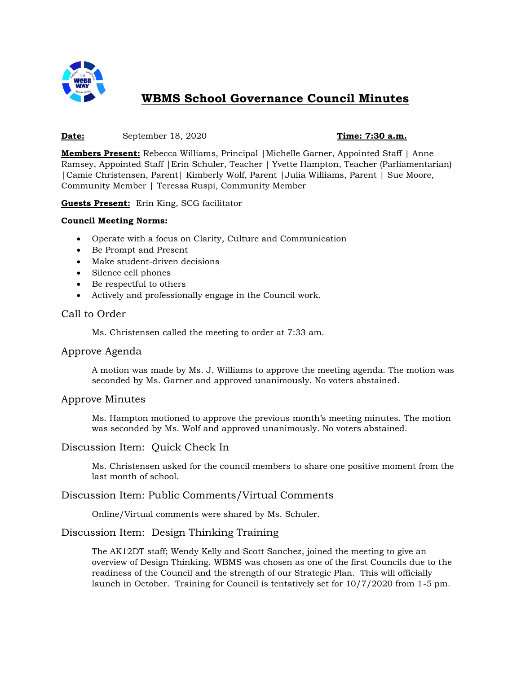

# **WBMS School Governance Council Minutes**

#### **Date:** September 18, 2020 **Time: 7:30 a.m.**

**Members Present:** Rebecca Williams, Principal |Michelle Garner, Appointed Staff | Anne Ramsey, Appointed Staff |Erin Schuler, Teacher | Yvette Hampton, Teacher (Parliamentarian) |Camie Christensen, Parent| Kimberly Wolf, Parent |Julia Williams, Parent | Sue Moore, Community Member | Teressa Ruspi, Community Member

**Guests Present:** Erin King, SCG facilitator

#### **Council Meeting Norms:**

- Operate with a focus on Clarity, Culture and Communication
- Be Prompt and Present
- Make student-driven decisions
- Silence cell phones
- Be respectful to others
- Actively and professionally engage in the Council work.

### Call to Order

Ms. Christensen called the meeting to order at 7:33 am.

#### Approve Agenda

A motion was made by Ms. J. Williams to approve the meeting agenda. The motion was seconded by Ms. Garner and approved unanimously. No voters abstained.

#### Approve Minutes

Ms. Hampton motioned to approve the previous month's meeting minutes. The motion was seconded by Ms. Wolf and approved unanimously. No voters abstained.

#### Discussion Item: Quick Check In

Ms. Christensen asked for the council members to share one positive moment from the last month of school.

#### Discussion Item: Public Comments/Virtual Comments

Online/Virtual comments were shared by Ms. Schuler.

# Discussion Item: Design Thinking Training

The AK12DT staff; Wendy Kelly and Scott Sanchez, joined the meeting to give an overview of Design Thinking. WBMS was chosen as one of the first Councils due to the readiness of the Council and the strength of our Strategic Plan. This will officially launch in October. Training for Council is tentatively set for 10/7/2020 from 1-5 pm.